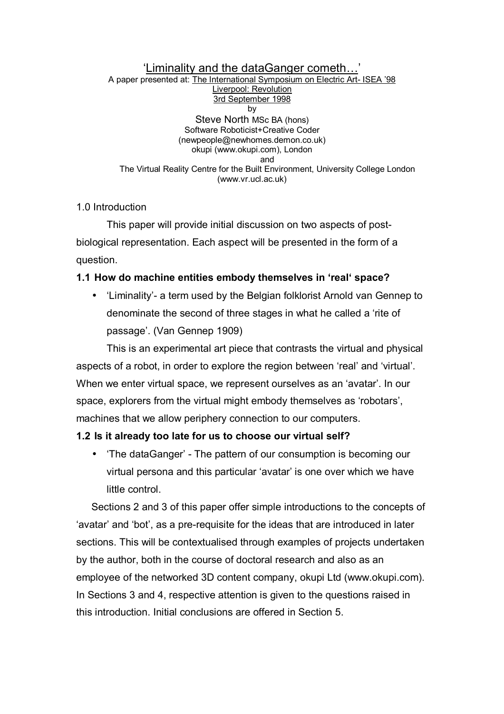#### 'Liminality and the dataGanger cometh... A paper presented at: The International Symposium on Electric Art- ISEA í98 Liverpool: Revolution 3rd September 1998 by Steve North MSc BA (hons) Software Roboticist+Creative Coder (newpeople@newhomes.demon.co.uk) okupi (www.okupi.com), London and The Virtual Reality Centre for the Built Environment, University College London (www.vr.ucl.ac.uk)

## 1.0 Introduction

This paper will provide initial discussion on two aspects of postbiological representation. Each aspect will be presented in the form of a question.

# **1.1 How do machine entities embody themselves in 'real' space?**

• 'Liminality'- a term used by the Belgian folklorist Arnold van Gennep to denominate the second of three stages in what he called a 'rite of passageí. (Van Gennep 1909)

This is an experimental art piece that contrasts the virtual and physical aspects of a robot, in order to explore the region between 'real' and 'virtual'. When we enter virtual space, we represent ourselves as an 'avatar'. In our space, explorers from the virtual might embody themselves as 'robotars', machines that we allow periphery connection to our computers.

# **1.2 Is it already too late for us to choose our virtual self?**

• ëThe dataGangerí - The pattern of our consumption is becoming our virtual persona and this particular 'avatar' is one over which we have little control.

Sections 2 and 3 of this paper offer simple introductions to the concepts of 'avatar' and 'bot', as a pre-requisite for the ideas that are introduced in later sections. This will be contextualised through examples of projects undertaken by the author, both in the course of doctoral research and also as an employee of the networked 3D content company, okupi Ltd (www.okupi.com). In Sections 3 and 4, respective attention is given to the questions raised in this introduction. Initial conclusions are offered in Section 5.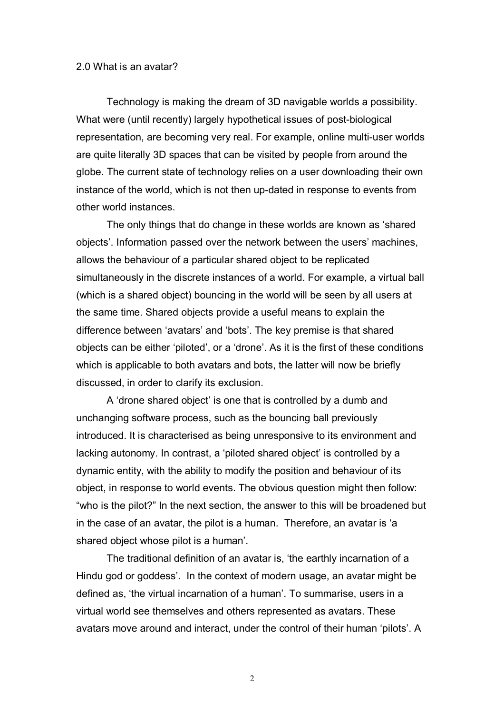### 2.0 What is an avatar?

Technology is making the dream of 3D navigable worlds a possibility. What were (until recently) largely hypothetical issues of post-biological representation, are becoming very real. For example, online multi-user worlds are quite literally 3D spaces that can be visited by people from around the globe. The current state of technology relies on a user downloading their own instance of the world, which is not then up-dated in response to events from other world instances.

The only things that do change in these worlds are known as 'shared objects'. Information passed over the network between the users' machines, allows the behaviour of a particular shared object to be replicated simultaneously in the discrete instances of a world. For example, a virtual ball (which is a shared object) bouncing in the world will be seen by all users at the same time. Shared objects provide a useful means to explain the difference between 'avatars' and 'bots'. The key premise is that shared objects can be either 'piloted', or a 'drone'. As it is the first of these conditions which is applicable to both avatars and bots, the latter will now be briefly discussed, in order to clarify its exclusion.

A 'drone shared object' is one that is controlled by a dumb and unchanging software process, such as the bouncing ball previously introduced. It is characterised as being unresponsive to its environment and lacking autonomy. In contrast, a 'piloted shared object' is controlled by a dynamic entity, with the ability to modify the position and behaviour of its object, in response to world events. The obvious question might then follow: "who is the pilot?" In the next section, the answer to this will be broadened but in the case of an avatar, the pilot is a human. Therefore, an avatar is ëa shared object whose pilot is a human<sup>'</sup>.

The traditional definition of an avatar is, 'the earthly incarnation of a Hindu god or goddess'. In the context of modern usage, an avatar might be defined as, 'the virtual incarnation of a human'. To summarise, users in a virtual world see themselves and others represented as avatars. These avatars move around and interact, under the control of their human 'pilots'. A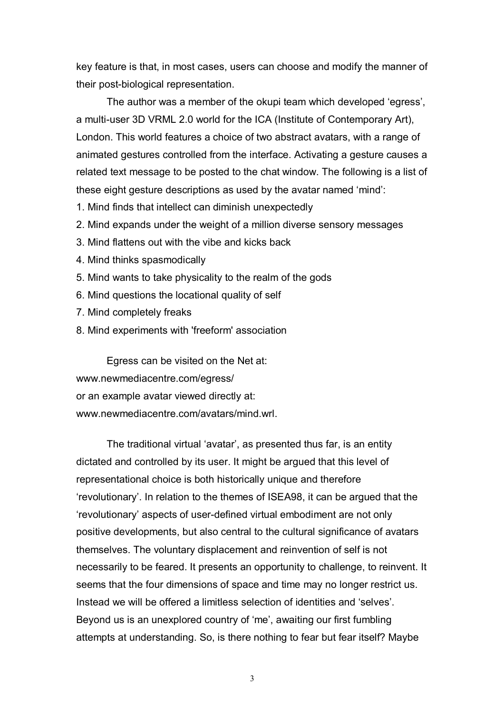key feature is that, in most cases, users can choose and modify the manner of their post-biological representation.

The author was a member of the okupi team which developed 'egress', a multi-user 3D VRML 2.0 world for the ICA (Institute of Contemporary Art), London. This world features a choice of two abstract avatars, with a range of animated gestures controlled from the interface. Activating a gesture causes a related text message to be posted to the chat window. The following is a list of these eight gesture descriptions as used by the avatar named 'mind':

- 1. Mind finds that intellect can diminish unexpectedly
- 2. Mind expands under the weight of a million diverse sensory messages
- 3. Mind flattens out with the vibe and kicks back
- 4. Mind thinks spasmodically
- 5. Mind wants to take physicality to the realm of the gods
- 6. Mind questions the locational quality of self
- 7. Mind completely freaks
- 8. Mind experiments with 'freeform' association

Egress can be visited on the Net at: www.newmediacentre.com/egress/ or an example avatar viewed directly at: www.newmediacentre.com/avatars/mind.wrl.

The traditional virtual 'avatar', as presented thus far, is an entity dictated and controlled by its user. It might be argued that this level of representational choice is both historically unique and therefore ërevolutionaryí. In relation to the themes of ISEA98, it can be argued that the ërevolutionaryí aspects of user-defined virtual embodiment are not only positive developments, but also central to the cultural significance of avatars themselves. The voluntary displacement and reinvention of self is not necessarily to be feared. It presents an opportunity to challenge, to reinvent. It seems that the four dimensions of space and time may no longer restrict us. Instead we will be offered a limitless selection of identities and 'selves'. Beyond us is an unexplored country of 'me', awaiting our first fumbling attempts at understanding. So, is there nothing to fear but fear itself? Maybe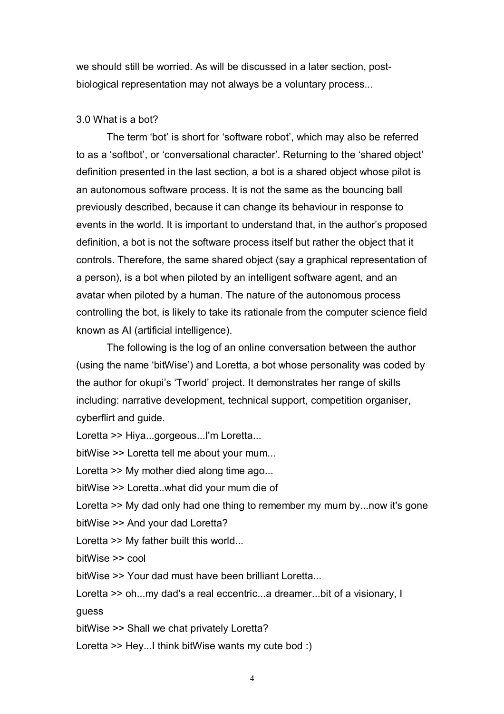we should still be worried. As will be discussed in a later section, postbiological representation may not always be a voluntary process...

## 3.0 What is a bot?

The term 'bot' is short for 'software robot', which may also be referred to as a 'softbot', or 'conversational character'. Returning to the 'shared object' definition presented in the last section, a bot is a shared object whose pilot is an autonomous software process. It is not the same as the bouncing ball previously described, because it can change its behaviour in response to events in the world. It is important to understand that, in the author's proposed definition, a bot is not the software process itself but rather the object that it controls. Therefore, the same shared object (say a graphical representation of a person), is a bot when piloted by an intelligent software agent, and an avatar when piloted by a human. The nature of the autonomous process controlling the bot, is likely to take its rationale from the computer science field known as AI (artificial intelligence).

The following is the log of an online conversation between the author (using the name 'bitWise') and Loretta, a bot whose personality was coded by the author for okupi's 'Tworld' project. It demonstrates her range of skills including: narrative development, technical support, competition organiser, cyberflirt and guide.

Loretta >> Hiya...gorgeous...I'm Loretta...

bitWise >> Loretta tell me about your mum...

Loretta >> My mother died along time ago...

bitWise >> Loretta..what did your mum die of

Loretta >> My dad only had one thing to remember my mum by...now it's gone bitWise >> And your dad Loretta?

Loretta >> My father built this world...

bitWise >> cool

bitWise >> Your dad must have been brilliant Loretta...

Loretta >> oh...my dad's a real eccentric...a dreamer...bit of a visionary, I guess

bitWise >> Shall we chat privately Loretta?

Loretta >> Hey...I think bitWise wants my cute bod :)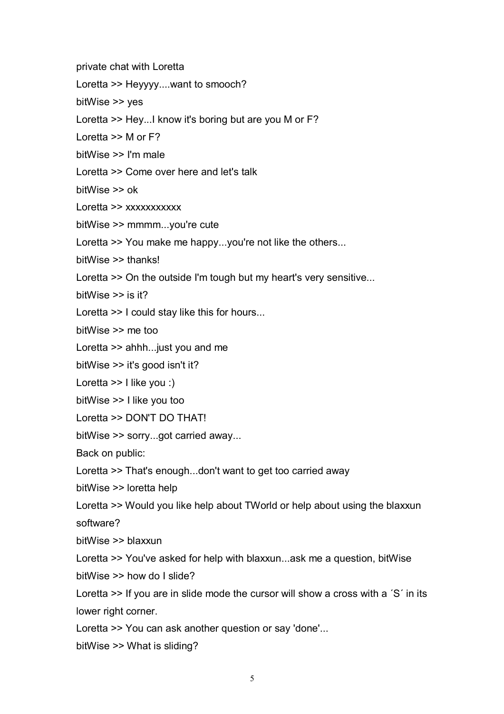private chat with Loretta

Loretta >> Heyyyy....want to smooch?

bitWise >> yes

Loretta >> Hey...I know it's boring but are you M or F?

Loretta >> M or F?

bitWise >> I'm male

Loretta >> Come over here and let's talk

bitWise >> ok

Loretta >> xxxxxxxxxxx

bitWise >> mmmm...you're cute

Loretta >> You make me happy...you're not like the others...

bitWise >> thanks!

Loretta >> On the outside I'm tough but my heart's very sensitive...

bitWise >> is it?

Loretta >> I could stay like this for hours...

bitWise >> me too

Loretta >> ahhh...just you and me

bitWise >> it's good isn't it?

Loretta >> I like you :)

bitWise >> I like you too

```
Loretta >> DON'T DO THAT!
```
bitWise >> sorry...got carried away...

Back on public:

Loretta >> That's enough...don't want to get too carried away

bitWise >> loretta help

Loretta >> Would you like help about TWorld or help about using the blaxxun software?

bitWise >> blaxxun

Loretta >> You've asked for help with blaxxun...ask me a question, bitWise bitWise >> how do I slide?

Loretta  $\gg$  If you are in slide mode the cursor will show a cross with a 'S' in its lower right corner.

Loretta >> You can ask another question or say 'done'...

bitWise >> What is sliding?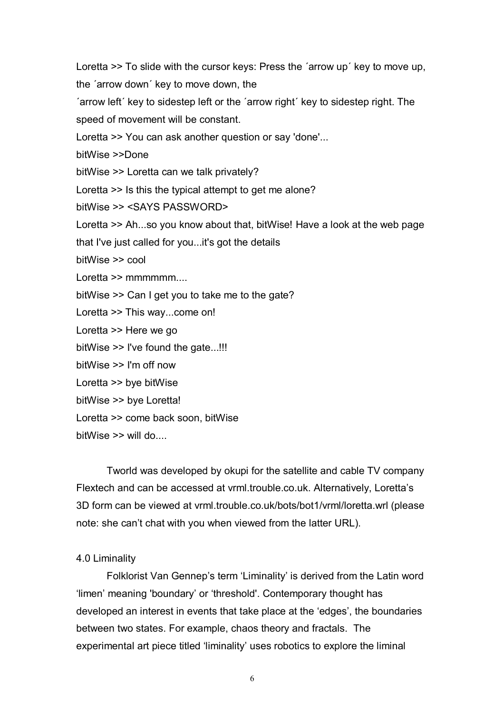Loretta  $\geq$  To slide with the cursor keys: Press the 'arrow up' key to move up, the 'arrow down' key to move down, the 'arrow left' key to sidestep left or the 'arrow right' key to sidestep right. The speed of movement will be constant. Loretta >> You can ask another question or say 'done'... bitWise >>Done bitWise >> Loretta can we talk privately? Loretta >> Is this the typical attempt to get me alone? bitWise >> <SAYS PASSWORD> Loretta >> Ah...so you know about that, bitWise! Have a look at the web page that I've just called for you...it's got the details bitWise >> cool Loretta >> mmmmmm.... bitWise >> Can I get you to take me to the gate? Loretta >> This way...come on! Loretta >> Here we go bitWise >> I've found the gate...!!! bitWise >> I'm off now Loretta >> bye bitWise bitWise >> bye Loretta! Loretta >> come back soon, bitWise  $bitWise \geq \text{will} do...$ 

Tworld was developed by okupi for the satellite and cable TV company Flextech and can be accessed at vrml.trouble.co.uk. Alternatively, Lorettaís 3D form can be viewed at vrml.trouble.co.uk/bots/bot1/vrml/loretta.wrl (please note: she canít chat with you when viewed from the latter URL).

### 4.0 Liminality

Folklorist Van Gennep's term 'Liminality' is derived from the Latin word 'limen' meaning 'boundary' or 'threshold'. Contemporary thought has developed an interest in events that take place at the 'edges', the boundaries between two states. For example, chaos theory and fractals. The experimental art piece titled 'liminality' uses robotics to explore the liminal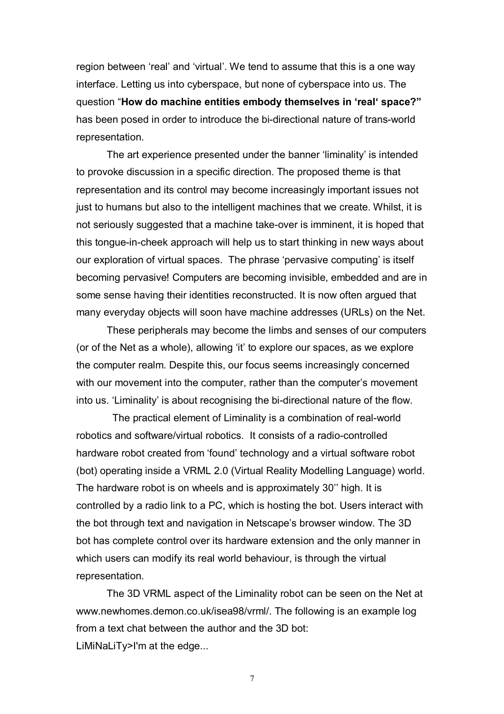region between 'real' and 'virtual'. We tend to assume that this is a one way interface. Letting us into cyberspace, but none of cyberspace into us. The question "How do machine entities embody themselves in 'real' space?" has been posed in order to introduce the bi-directional nature of trans-world representation.

The art experience presented under the banner 'liminality' is intended to provoke discussion in a specific direction. The proposed theme is that representation and its control may become increasingly important issues not just to humans but also to the intelligent machines that we create. Whilst, it is not seriously suggested that a machine take-over is imminent, it is hoped that this tongue-in-cheek approach will help us to start thinking in new ways about our exploration of virtual spaces. The phrase 'pervasive computing' is itself becoming pervasive! Computers are becoming invisible, embedded and are in some sense having their identities reconstructed. It is now often argued that many everyday objects will soon have machine addresses (URLs) on the Net.

These peripherals may become the limbs and senses of our computers (or of the Net as a whole), allowing 'it' to explore our spaces, as we explore the computer realm. Despite this, our focus seems increasingly concerned with our movement into the computer, rather than the computer's movement into us. 'Liminality' is about recognising the bi-directional nature of the flow.

 The practical element of Liminality is a combination of real-world robotics and software/virtual robotics. It consists of a radio-controlled hardware robot created from 'found' technology and a virtual software robot (bot) operating inside a VRML 2.0 (Virtual Reality Modelling Language) world. The hardware robot is on wheels and is approximately 30" high. It is controlled by a radio link to a PC, which is hosting the bot. Users interact with the bot through text and navigation in Netscape's browser window. The 3D bot has complete control over its hardware extension and the only manner in which users can modify its real world behaviour, is through the virtual representation.

The 3D VRML aspect of the Liminality robot can be seen on the Net at www.newhomes.demon.co.uk/isea98/vrml/. The following is an example log from a text chat between the author and the 3D bot: LiMiNaLiTy>I'm at the edge...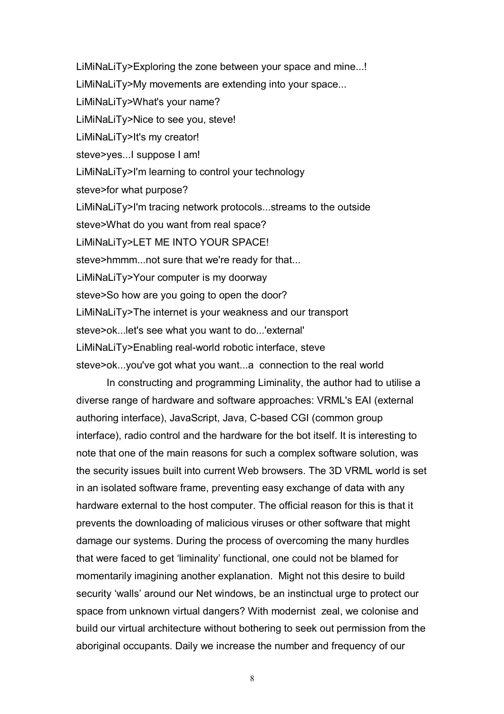LiMiNaLiTy>Exploring the zone between your space and mine...! LiMiNaLiTy>My movements are extending into your space... LiMiNaLiTy>What's your name? LiMiNaLiTy>Nice to see you, steve! LiMiNaLiTy>It's my creator! steve>yes...I suppose I am! LiMiNaLiTy>I'm learning to control your technology steve>for what purpose? LiMiNaLiTy>I'm tracing network protocols...streams to the outside steve>What do you want from real space? LiMiNaLiTy>LET ME INTO YOUR SPACE! steve>hmmm...not sure that we're ready for that... LiMiNaLiTy>Your computer is my doorway steve>So how are you going to open the door? LiMiNaLiTy>The internet is your weakness and our transport steve>ok...let's see what you want to do...'external' LiMiNaLiTy>Enabling real-world robotic interface, steve steve>ok...you've got what you want...a connection to the real world

In constructing and programming Liminality, the author had to utilise a diverse range of hardware and software approaches: VRML's EAI (external authoring interface), JavaScript, Java, C-based CGI (common group interface), radio control and the hardware for the bot itself. It is interesting to note that one of the main reasons for such a complex software solution, was the security issues built into current Web browsers. The 3D VRML world is set in an isolated software frame, preventing easy exchange of data with any hardware external to the host computer. The official reason for this is that it prevents the downloading of malicious viruses or other software that might damage our systems. During the process of overcoming the many hurdles that were faced to get 'liminality' functional, one could not be blamed for momentarily imagining another explanation. Might not this desire to build security 'walls' around our Net windows, be an instinctual urge to protect our space from unknown virtual dangers? With modernist zeal, we colonise and build our virtual architecture without bothering to seek out permission from the aboriginal occupants. Daily we increase the number and frequency of our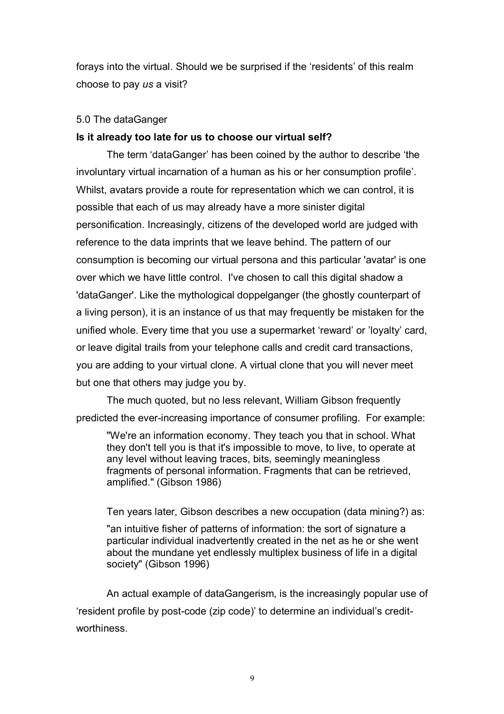forays into the virtual. Should we be surprised if the 'residents' of this realm choose to pay *us* a visit?

## 5.0 The dataGanger

## **Is it already too late for us to choose our virtual self?**

The term 'dataGanger' has been coined by the author to describe 'the involuntary virtual incarnation of a human as his or her consumption profile'. Whilst, avatars provide a route for representation which we can control, it is possible that each of us may already have a more sinister digital personification. Increasingly, citizens of the developed world are judged with reference to the data imprints that we leave behind. The pattern of our consumption is becoming our virtual persona and this particular 'avatar' is one over which we have little control. I've chosen to call this digital shadow a 'dataGanger'. Like the mythological doppelganger (the ghostly counterpart of a living person), it is an instance of us that may frequently be mistaken for the unified whole. Every time that you use a supermarket 'reward' or 'loyalty' card, or leave digital trails from your telephone calls and credit card transactions, you are adding to your virtual clone. A virtual clone that you will never meet but one that others may judge you by.

The much quoted, but no less relevant, William Gibson frequently predicted the ever-increasing importance of consumer profiling. For example:

"We're an information economy. They teach you that in school. What they don't tell you is that it's impossible to move, to live, to operate at any level without leaving traces, bits, seemingly meaningless fragments of personal information. Fragments that can be retrieved, amplified." (Gibson 1986)

Ten years later, Gibson describes a new occupation (data mining?) as:

"an intuitive fisher of patterns of information: the sort of signature a particular individual inadvertently created in the net as he or she went about the mundane yet endlessly multiplex business of life in a digital society" (Gibson 1996)

An actual example of dataGangerism, is the increasingly popular use of ëresident profile by post-code (zip code)í to determine an individualís creditworthiness.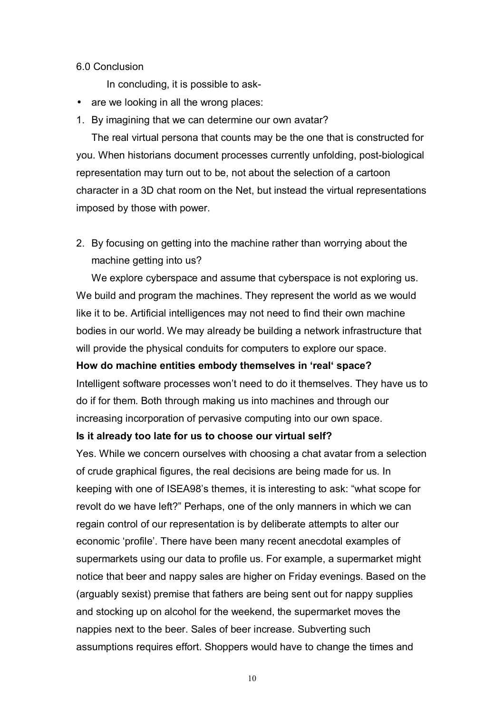### 6.0 Conclusion

In concluding, it is possible to ask-

- are we looking in all the wrong places:
- 1. By imagining that we can determine our own avatar?

The real virtual persona that counts may be the one that is constructed for you. When historians document processes currently unfolding, post-biological representation may turn out to be, not about the selection of a cartoon character in a 3D chat room on the Net, but instead the virtual representations imposed by those with power.

2. By focusing on getting into the machine rather than worrying about the machine getting into us?

We explore cyberspace and assume that cyberspace is not exploring us. We build and program the machines. They represent the world as we would like it to be. Artificial intelligences may not need to find their own machine bodies in our world. We may already be building a network infrastructure that will provide the physical conduits for computers to explore our space.

### How do machine entities embody themselves in 'real' space?

Intelligent software processes won't need to do it themselves. They have us to do if for them. Both through making us into machines and through our increasing incorporation of pervasive computing into our own space.

#### **Is it already too late for us to choose our virtual self?**

Yes. While we concern ourselves with choosing a chat avatar from a selection of crude graphical figures, the real decisions are being made for us. In keeping with one of ISEA98's themes, it is interesting to ask: "what scope for revolt do we have left?" Perhaps, one of the only manners in which we can regain control of our representation is by deliberate attempts to alter our economic 'profile'. There have been many recent anecdotal examples of supermarkets using our data to profile us. For example, a supermarket might notice that beer and nappy sales are higher on Friday evenings. Based on the (arguably sexist) premise that fathers are being sent out for nappy supplies and stocking up on alcohol for the weekend, the supermarket moves the nappies next to the beer. Sales of beer increase. Subverting such assumptions requires effort. Shoppers would have to change the times and